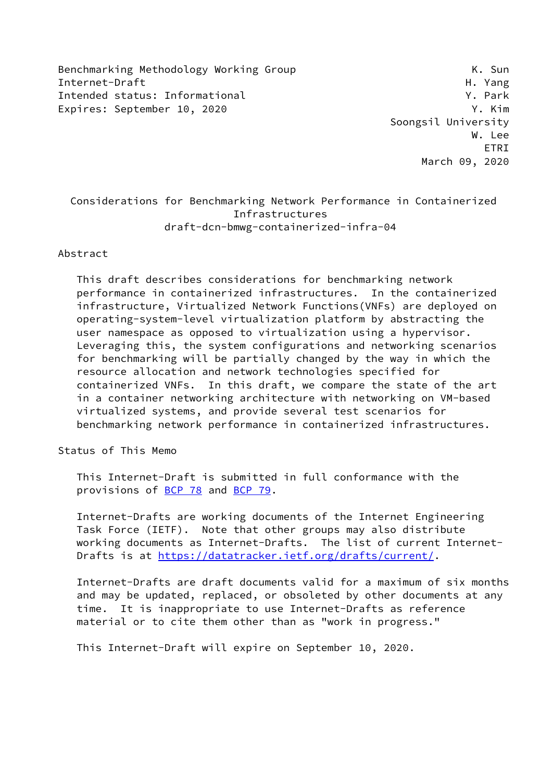Benchmarking Methodology Working Group Manusculing K. Sun Internet-Draft H. Yang Intended status: Informational **Y. Park** Expires: September 10, 2020 Y. Kim

 Soongsil University W. Lee ETRI March 09, 2020

# Considerations for Benchmarking Network Performance in Containerized Infrastructures draft-dcn-bmwg-containerized-infra-04

#### Abstract

 This draft describes considerations for benchmarking network performance in containerized infrastructures. In the containerized infrastructure, Virtualized Network Functions(VNFs) are deployed on operating-system-level virtualization platform by abstracting the user namespace as opposed to virtualization using a hypervisor. Leveraging this, the system configurations and networking scenarios for benchmarking will be partially changed by the way in which the resource allocation and network technologies specified for containerized VNFs. In this draft, we compare the state of the art in a container networking architecture with networking on VM-based virtualized systems, and provide several test scenarios for benchmarking network performance in containerized infrastructures.

Status of This Memo

 This Internet-Draft is submitted in full conformance with the provisions of [BCP 78](https://datatracker.ietf.org/doc/pdf/bcp78) and [BCP 79](https://datatracker.ietf.org/doc/pdf/bcp79).

 Internet-Drafts are working documents of the Internet Engineering Task Force (IETF). Note that other groups may also distribute working documents as Internet-Drafts. The list of current Internet- Drafts is at<https://datatracker.ietf.org/drafts/current/>.

 Internet-Drafts are draft documents valid for a maximum of six months and may be updated, replaced, or obsoleted by other documents at any time. It is inappropriate to use Internet-Drafts as reference material or to cite them other than as "work in progress."

This Internet-Draft will expire on September 10, 2020.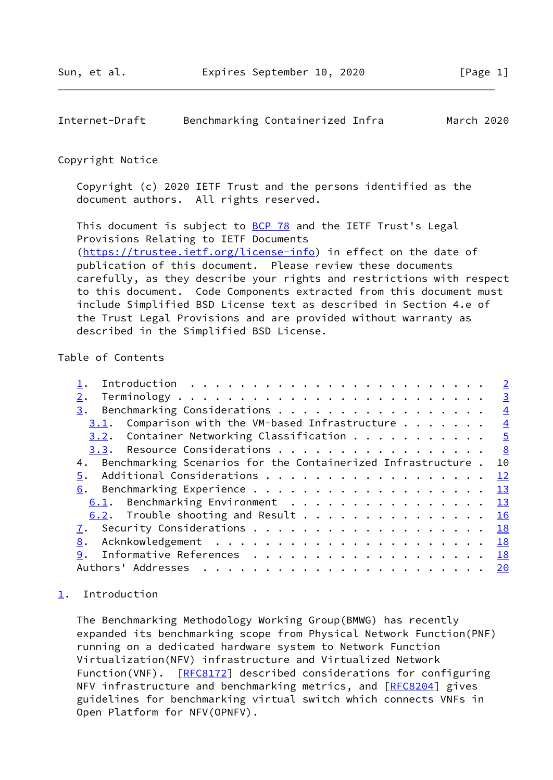## <span id="page-1-1"></span>Internet-Draft Benchmarking Containerized Infra March 2020

#### Copyright Notice

 Copyright (c) 2020 IETF Trust and the persons identified as the document authors. All rights reserved.

This document is subject to **[BCP 78](https://datatracker.ietf.org/doc/pdf/bcp78)** and the IETF Trust's Legal Provisions Relating to IETF Documents [\(https://trustee.ietf.org/license-info](https://trustee.ietf.org/license-info)) in effect on the date of publication of this document. Please review these documents carefully, as they describe your rights and restrictions with respect to this document. Code Components extracted from this document must include Simplified BSD License text as described in Section 4.e of the Trust Legal Provisions and are provided without warranty as described in the Simplified BSD License.

### Table of Contents

|                                                                        |  | $\overline{2}$          |
|------------------------------------------------------------------------|--|-------------------------|
| 2.                                                                     |  | $\overline{\mathbf{3}}$ |
| Benchmarking Considerations<br>3.                                      |  | $\frac{4}{1}$           |
| <u>3.1</u> . Comparison with the VM-based Infrastructure $\frac{4}{1}$ |  |                         |
| 3.2. Container Networking Classification 5                             |  |                         |
| 3.3. Resource Considerations 8                                         |  |                         |
| 4. Benchmarking Scenarios for the Containerized Infrastructure . 10    |  |                         |
| 5. Additional Considerations 12                                        |  |                         |
| 6. Benchmarking Experience 13                                          |  |                         |
| 6.1. Benchmarking Environment 13                                       |  |                         |
| 6.2. Trouble shooting and Result 16                                    |  |                         |
| 7. Security Considerations 18                                          |  |                         |
| 8.                                                                     |  |                         |
| Informative References 18<br>9.                                        |  |                         |
|                                                                        |  |                         |

### <span id="page-1-0"></span>[1](#page-1-0). Introduction

 The Benchmarking Methodology Working Group(BMWG) has recently expanded its benchmarking scope from Physical Network Function(PNF) running on a dedicated hardware system to Network Function Virtualization(NFV) infrastructure and Virtualized Network Function(VNF). [\[RFC8172](https://datatracker.ietf.org/doc/pdf/rfc8172)] described considerations for configuring NFV infrastructure and benchmarking metrics, and [\[RFC8204](https://datatracker.ietf.org/doc/pdf/rfc8204)] gives guidelines for benchmarking virtual switch which connects VNFs in Open Platform for NFV(OPNFV).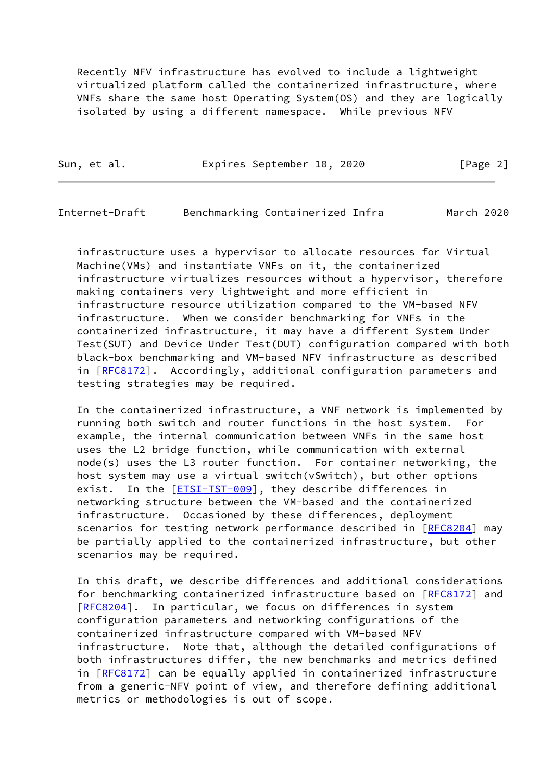Recently NFV infrastructure has evolved to include a lightweight virtualized platform called the containerized infrastructure, where VNFs share the same host Operating System(OS) and they are logically isolated by using a different namespace. While previous NFV

|  | Sun, et al. | Expires September 10, 2020 | [Page 2] |
|--|-------------|----------------------------|----------|
|--|-------------|----------------------------|----------|

<span id="page-2-0"></span>Internet-Draft Benchmarking Containerized Infra March 2020

 infrastructure uses a hypervisor to allocate resources for Virtual Machine(VMs) and instantiate VNFs on it, the containerized infrastructure virtualizes resources without a hypervisor, therefore making containers very lightweight and more efficient in infrastructure resource utilization compared to the VM-based NFV infrastructure. When we consider benchmarking for VNFs in the containerized infrastructure, it may have a different System Under Test(SUT) and Device Under Test(DUT) configuration compared with both black-box benchmarking and VM-based NFV infrastructure as described in [[RFC8172\]](https://datatracker.ietf.org/doc/pdf/rfc8172). Accordingly, additional configuration parameters and testing strategies may be required.

 In the containerized infrastructure, a VNF network is implemented by running both switch and router functions in the host system. For example, the internal communication between VNFs in the same host uses the L2 bridge function, while communication with external node(s) uses the L3 router function. For container networking, the host system may use a virtual switch(vSwitch), but other options exist. In the [\[ETSI-TST-009](#page-20-1)], they describe differences in networking structure between the VM-based and the containerized infrastructure. Occasioned by these differences, deployment scenarios for testing network performance described in [\[RFC8204](https://datatracker.ietf.org/doc/pdf/rfc8204)] may be partially applied to the containerized infrastructure, but other scenarios may be required.

 In this draft, we describe differences and additional considerations for benchmarking containerized infrastructure based on [\[RFC8172](https://datatracker.ietf.org/doc/pdf/rfc8172)] and [\[RFC8204](https://datatracker.ietf.org/doc/pdf/rfc8204)]. In particular, we focus on differences in system configuration parameters and networking configurations of the containerized infrastructure compared with VM-based NFV infrastructure. Note that, although the detailed configurations of both infrastructures differ, the new benchmarks and metrics defined in [[RFC8172\]](https://datatracker.ietf.org/doc/pdf/rfc8172) can be equally applied in containerized infrastructure from a generic-NFV point of view, and therefore defining additional metrics or methodologies is out of scope.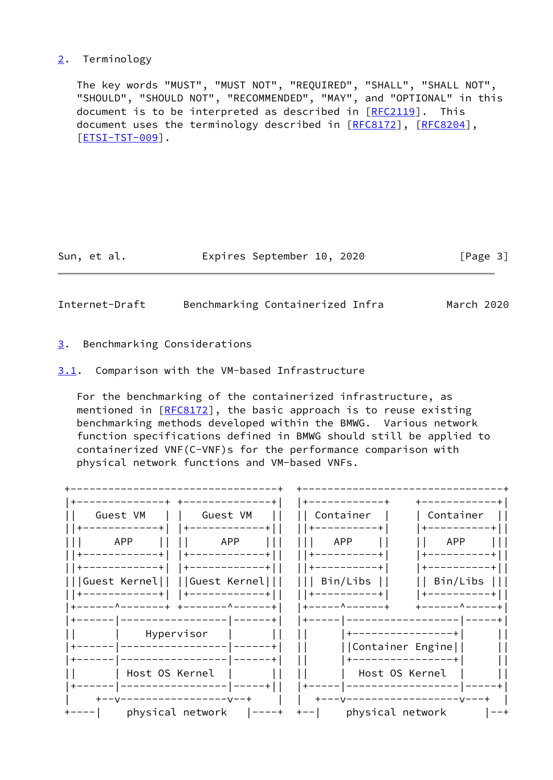### <span id="page-3-0"></span>[2](#page-3-0). Terminology

 The key words "MUST", "MUST NOT", "REQUIRED", "SHALL", "SHALL NOT", "SHOULD", "SHOULD NOT", "RECOMMENDED", "MAY", and "OPTIONAL" in this document is to be interpreted as described in  $[REC2119]$ . This document uses the terminology described in [[RFC8172\]](https://datatracker.ietf.org/doc/pdf/rfc8172), [[RFC8204](https://datatracker.ietf.org/doc/pdf/rfc8204)], [\[ETSI-TST-009](#page-20-1)].

Sun, et al. **Expires September 10, 2020** [Page 3]

<span id="page-3-2"></span>Internet-Draft Benchmarking Containerized Infra March 2020

<span id="page-3-1"></span>[3](#page-3-1). Benchmarking Considerations

<span id="page-3-3"></span>[3.1](#page-3-3). Comparison with the VM-based Infrastructure

 For the benchmarking of the containerized infrastructure, as mentioned in [\[RFC8172](https://datatracker.ietf.org/doc/pdf/rfc8172)], the basic approach is to reuse existing benchmarking methods developed within the BMWG. Various network function specifications defined in BMWG should still be applied to containerized VNF(C-VNF)s for the performance comparison with physical network functions and VM-based VNFs.

| Guest VM       | Guest VM                      | Container      | Container           |
|----------------|-------------------------------|----------------|---------------------|
|                |                               |                |                     |
| APP            | APP                           | APP            | APP                 |
| -------        |                               |                |                     |
|                |                               |                |                     |
|                | Guest Kernel     Guest Kernel | Bin/Libs       | Bin/Libs            |
|                | --------                      | ---------+     |                     |
|                | -----------+                  | ___________    | – – – – – ^ – – – - |
|                |                               |                |                     |
| Hypervisor     |                               | -------        |                     |
|                |                               |                | Container Engine    |
|                |                               |                |                     |
| Host OS Kernel |                               | Host OS Kernel |                     |
|                |                               |                |                     |
|                |                               |                |                     |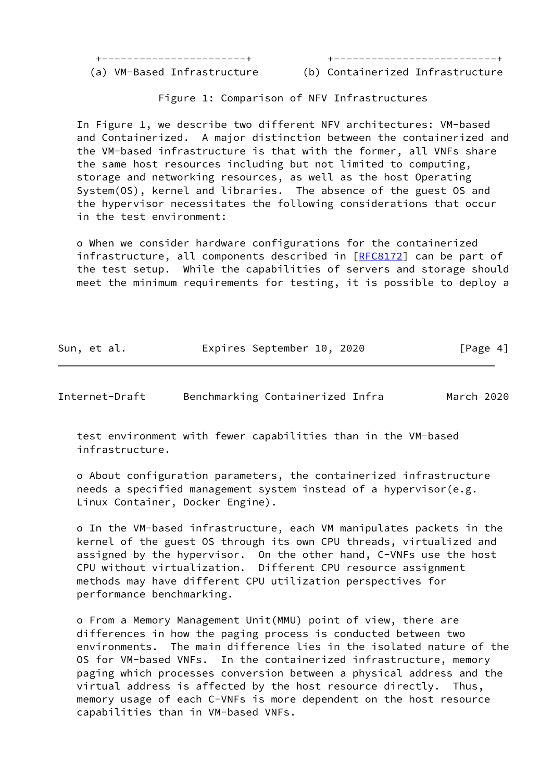+-----------------------+ +--------------------------+

(a) VM-Based Infrastructure (b) Containerized Infrastructure

Figure 1: Comparison of NFV Infrastructures

 In Figure 1, we describe two different NFV architectures: VM-based and Containerized. A major distinction between the containerized and the VM-based infrastructure is that with the former, all VNFs share the same host resources including but not limited to computing, storage and networking resources, as well as the host Operating System(OS), kernel and libraries. The absence of the guest OS and the hypervisor necessitates the following considerations that occur in the test environment:

 o When we consider hardware configurations for the containerized infrastructure, all components described in [\[RFC8172](https://datatracker.ietf.org/doc/pdf/rfc8172)] can be part of the test setup. While the capabilities of servers and storage should meet the minimum requirements for testing, it is possible to deploy a

| Sun, et al. | Expires September 10, 2020 |  | [Page 4] |
|-------------|----------------------------|--|----------|
|             |                            |  |          |

<span id="page-4-0"></span>Internet-Draft Benchmarking Containerized Infra March 2020

 test environment with fewer capabilities than in the VM-based infrastructure.

 o About configuration parameters, the containerized infrastructure needs a specified management system instead of a hypervisor(e.g. Linux Container, Docker Engine).

 o In the VM-based infrastructure, each VM manipulates packets in the kernel of the guest OS through its own CPU threads, virtualized and assigned by the hypervisor. On the other hand, C-VNFs use the host CPU without virtualization. Different CPU resource assignment methods may have different CPU utilization perspectives for performance benchmarking.

 o From a Memory Management Unit(MMU) point of view, there are differences in how the paging process is conducted between two environments. The main difference lies in the isolated nature of the OS for VM-based VNFs. In the containerized infrastructure, memory paging which processes conversion between a physical address and the virtual address is affected by the host resource directly. Thus, memory usage of each C-VNFs is more dependent on the host resource capabilities than in VM-based VNFs.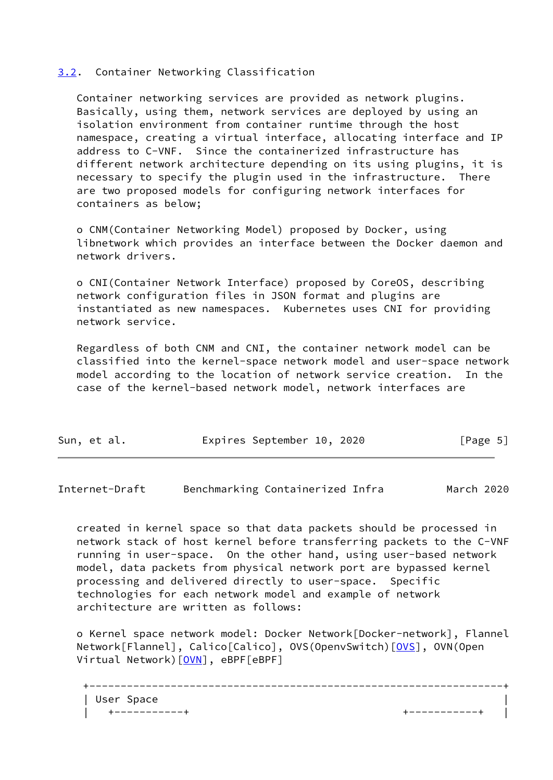### <span id="page-5-0"></span>[3.2](#page-5-0). Container Networking Classification

 Container networking services are provided as network plugins. Basically, using them, network services are deployed by using an isolation environment from container runtime through the host namespace, creating a virtual interface, allocating interface and IP address to C-VNF. Since the containerized infrastructure has different network architecture depending on its using plugins, it is necessary to specify the plugin used in the infrastructure. There are two proposed models for configuring network interfaces for containers as below;

 o CNM(Container Networking Model) proposed by Docker, using libnetwork which provides an interface between the Docker daemon and network drivers.

 o CNI(Container Network Interface) proposed by CoreOS, describing network configuration files in JSON format and plugins are instantiated as new namespaces. Kubernetes uses CNI for providing network service.

 Regardless of both CNM and CNI, the container network model can be classified into the kernel-space network model and user-space network model according to the location of network service creation. In the case of the kernel-based network model, network interfaces are

| Sun, et al. |  | Expires September 10, 2020 |  |  |  | [Page 5] |
|-------------|--|----------------------------|--|--|--|----------|
|-------------|--|----------------------------|--|--|--|----------|

Internet-Draft Benchmarking Containerized Infra March 2020

 created in kernel space so that data packets should be processed in network stack of host kernel before transferring packets to the C-VNF running in user-space. On the other hand, using user-based network model, data packets from physical network port are bypassed kernel processing and delivered directly to user-space. Specific technologies for each network model and example of network architecture are written as follows:

 o Kernel space network model: Docker Network[Docker-network], Flannel Network[Flannel], Calico[Calico], OVS(OpenvSwitch)[[OVS](#page-20-2)], OVN(Open Virtual Network) [\[OVN](#page-20-3)], eBPF[eBPF]

+------------------------------------------------------------------+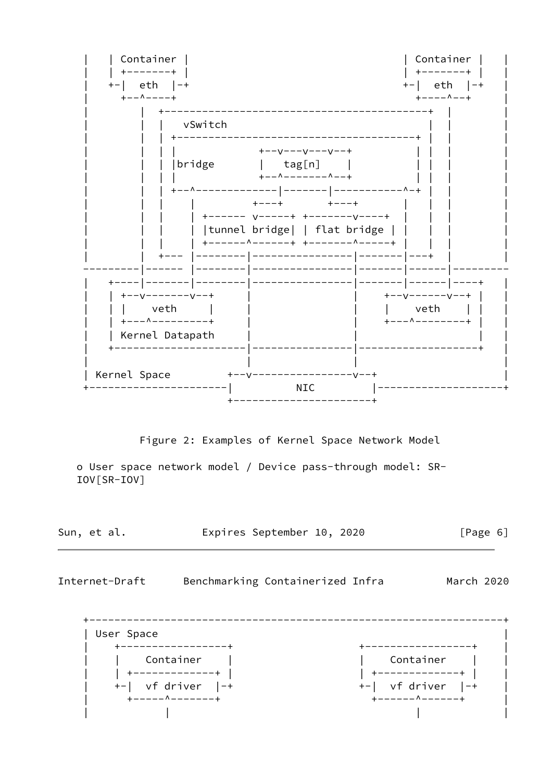

Expires September 10, 2020 Sun, et al.  $[Page 6]$ 

Internet-Draft Benchmarking Containerized Infra March 2020

| User Space +-----------------+ +-----------------+ | Container | | Container | | +-------------+ |  $+-$  vf driver  $|-+$  $+-$  vf driver  $|-+$ +-------------+ +-------------+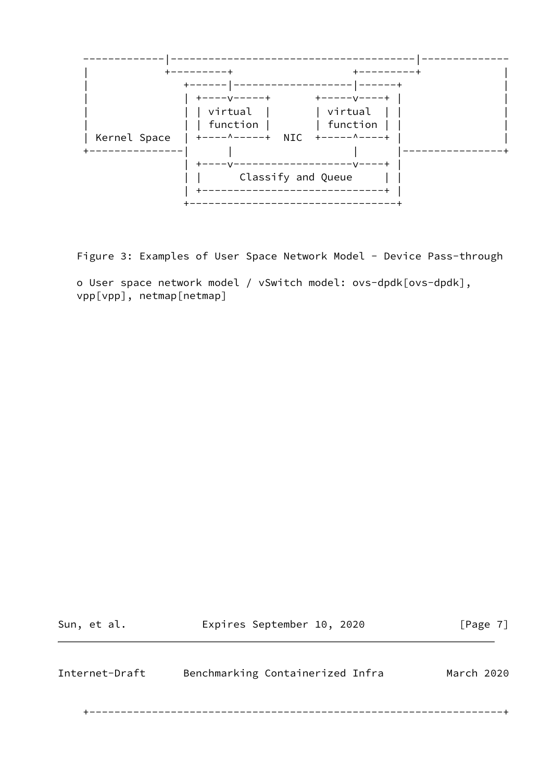

Figure 3: Examples of User Space Network Model - Device Pass-through

 o User space network model / vSwitch model: ovs-dpdk[ovs-dpdk], vpp[vpp], netmap[netmap]

<span id="page-7-0"></span>

| Sun, et al.    | Expires September 10, 2020       | [Page 7]   |
|----------------|----------------------------------|------------|
| Internet-Draft | Benchmarking Containerized Infra | March 2020 |
|                |                                  |            |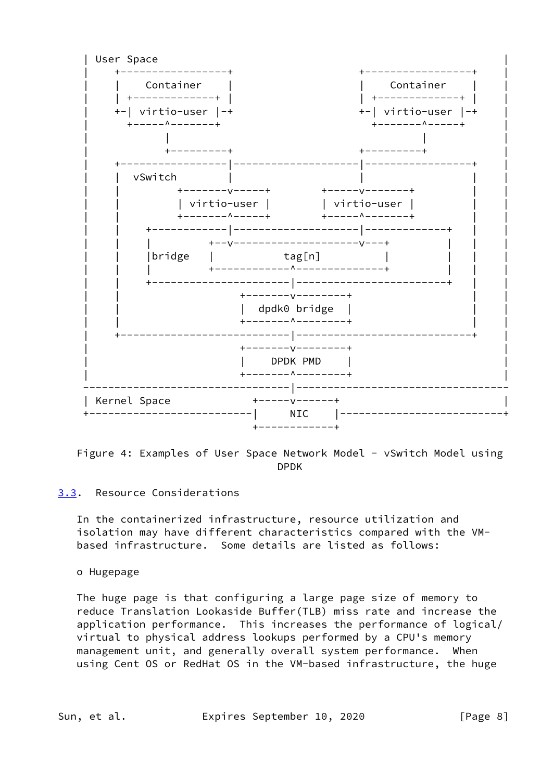

Figure 4: Examples of User Space Network Model - vSwitch Model using DPDK

### <span id="page-8-0"></span>[3.3](#page-8-0). Resource Considerations

 In the containerized infrastructure, resource utilization and isolation may have different characteristics compared with the VM based infrastructure. Some details are listed as follows:

#### o Hugepage

 The huge page is that configuring a large page size of memory to reduce Translation Lookaside Buffer(TLB) miss rate and increase the application performance. This increases the performance of logical/ virtual to physical address lookups performed by a CPU's memory management unit, and generally overall system performance. When using Cent OS or RedHat OS in the VM-based infrastructure, the huge

Sun, et al. Expires September 10, 2020 [Page 8]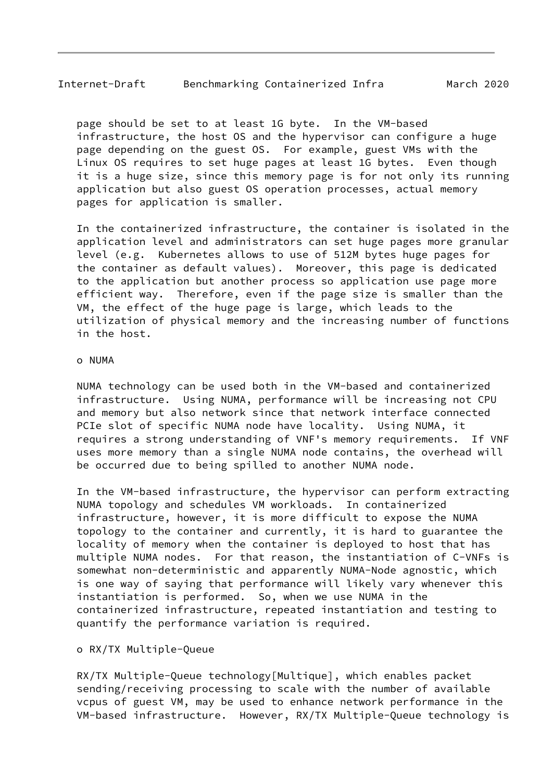page should be set to at least 1G byte. In the VM-based infrastructure, the host OS and the hypervisor can configure a huge page depending on the guest OS. For example, guest VMs with the Linux OS requires to set huge pages at least 1G bytes. Even though it is a huge size, since this memory page is for not only its running application but also guest OS operation processes, actual memory pages for application is smaller.

 In the containerized infrastructure, the container is isolated in the application level and administrators can set huge pages more granular level (e.g. Kubernetes allows to use of 512M bytes huge pages for the container as default values). Moreover, this page is dedicated to the application but another process so application use page more efficient way. Therefore, even if the page size is smaller than the VM, the effect of the huge page is large, which leads to the utilization of physical memory and the increasing number of functions in the host.

#### o NUMA

 NUMA technology can be used both in the VM-based and containerized infrastructure. Using NUMA, performance will be increasing not CPU and memory but also network since that network interface connected PCIe slot of specific NUMA node have locality. Using NUMA, it requires a strong understanding of VNF's memory requirements. If VNF uses more memory than a single NUMA node contains, the overhead will be occurred due to being spilled to another NUMA node.

 In the VM-based infrastructure, the hypervisor can perform extracting NUMA topology and schedules VM workloads. In containerized infrastructure, however, it is more difficult to expose the NUMA topology to the container and currently, it is hard to guarantee the locality of memory when the container is deployed to host that has multiple NUMA nodes. For that reason, the instantiation of C-VNFs is somewhat non-deterministic and apparently NUMA-Node agnostic, which is one way of saying that performance will likely vary whenever this instantiation is performed. So, when we use NUMA in the containerized infrastructure, repeated instantiation and testing to quantify the performance variation is required.

#### o RX/TX Multiple-Queue

 RX/TX Multiple-Queue technology[Multique], which enables packet sending/receiving processing to scale with the number of available vcpus of guest VM, may be used to enhance network performance in the VM-based infrastructure. However, RX/TX Multiple-Queue technology is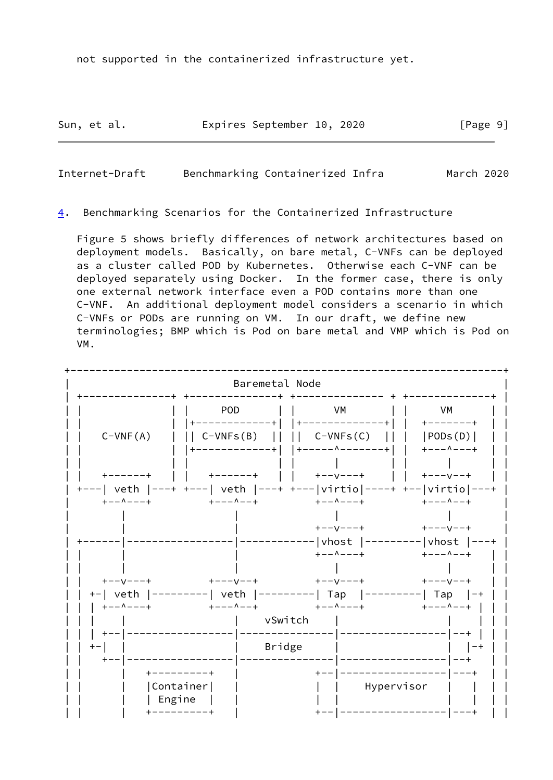not supported in the containerized infrastructure yet.

Sun, et al. **Expires September 10, 2020** [Page 9]

Internet-Draft Benchmarking Containerized Infra March 2020

<span id="page-10-0"></span>[4](#page-10-0). Benchmarking Scenarios for the Containerized Infrastructure

 Figure 5 shows briefly differences of network architectures based on deployment models. Basically, on bare metal, C-VNFs can be deployed as a cluster called POD by Kubernetes. Otherwise each C-VNF can be deployed separately using Docker. In the former case, there is only one external network interface even a POD contains more than one C-VNF. An additional deployment model considers a scenario in which C-VNFs or PODs are running on VM. In our draft, we define new terminologies; BMP which is Pod on bare metal and VMP which is Pod on VM.

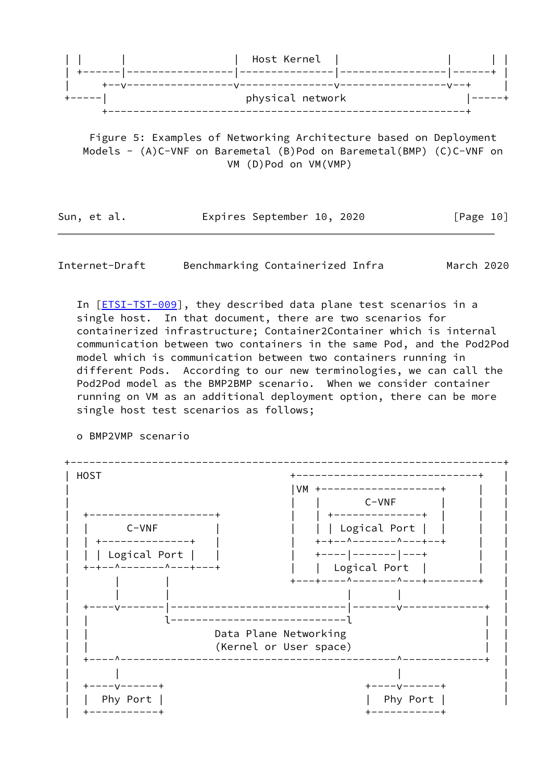

 Figure 5: Examples of Networking Architecture based on Deployment Models - (A)C-VNF on Baremetal (B)Pod on Baremetal(BMP) (C)C-VNF on VM (D)Pod on VM(VMP)

Sun, et al. **Expires September 10, 2020** [Page 10]

Internet-Draft Benchmarking Containerized Infra March 2020

In [[ETSI-TST-009\]](#page-20-1), they described data plane test scenarios in a single host. In that document, there are two scenarios for containerized infrastructure; Container2Container which is internal communication between two containers in the same Pod, and the Pod2Pod model which is communication between two containers running in different Pods. According to our new terminologies, we can call the Pod2Pod model as the BMP2BMP scenario. When we consider container running on VM as an additional deployment option, there can be more single host test scenarios as follows;



o BMP2VMP scenario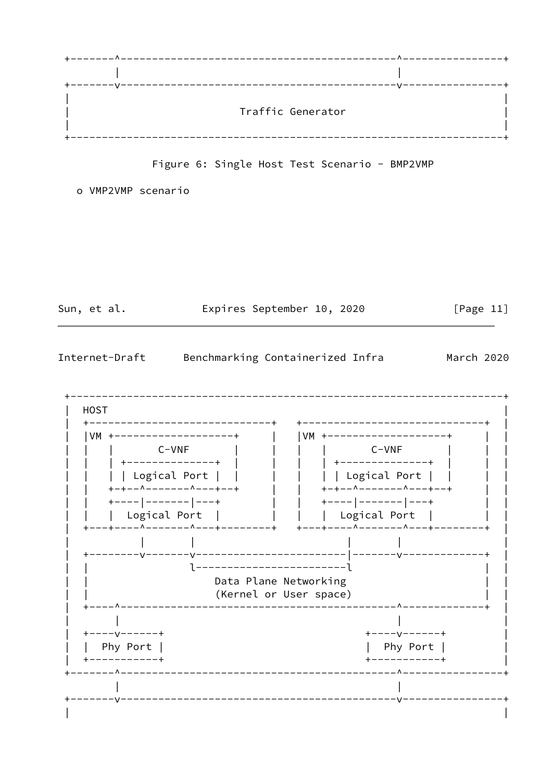

Figure 6: Single Host Test Scenario - BMP2VMP

o VMP2VMP scenario

Sun, et al.

Expires September 10, 2020

 $[Page 11]$ 

<span id="page-12-0"></span>Internet-Draft Benchmarking Containerized Infra March 2020

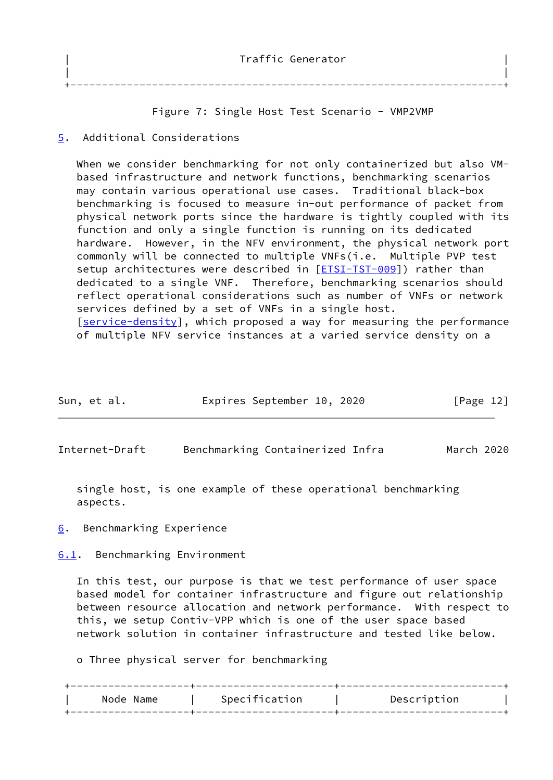| Traffic Generator |
|-------------------|
|                   |
|                   |

## Figure 7: Single Host Test Scenario - VMP2VMP

## <span id="page-13-0"></span>[5](#page-13-0). Additional Considerations

When we consider benchmarking for not only containerized but also VM based infrastructure and network functions, benchmarking scenarios may contain various operational use cases. Traditional black-box benchmarking is focused to measure in-out performance of packet from physical network ports since the hardware is tightly coupled with its function and only a single function is running on its dedicated hardware. However, in the NFV environment, the physical network port commonly will be connected to multiple VNFs(i.e. Multiple PVP test setup architectures were described in [[ETSI-TST-009\]](#page-20-1)) rather than dedicated to a single VNF. Therefore, benchmarking scenarios should reflect operational considerations such as number of VNFs or network services defined by a set of VNFs in a single host. [\[service-density](#page-21-1)], which proposed a way for measuring the performance of multiple NFV service instances at a varied service density on a

| Sun, et al. |  | Expires September 10, 2020 |  |  | [Page 12] |
|-------------|--|----------------------------|--|--|-----------|
|-------------|--|----------------------------|--|--|-----------|

<span id="page-13-2"></span>Internet-Draft Benchmarking Containerized Infra March 2020

 single host, is one example of these operational benchmarking aspects.

<span id="page-13-1"></span>[6](#page-13-1). Benchmarking Experience

<span id="page-13-3"></span>[6.1](#page-13-3). Benchmarking Environment

 In this test, our purpose is that we test performance of user space based model for container infrastructure and figure out relationship between resource allocation and network performance. With respect to this, we setup Contiv-VPP which is one of the user space based network solution in container infrastructure and tested like below.

o Three physical server for benchmarking

| Node Name | Specification | Description |  |
|-----------|---------------|-------------|--|
|           |               |             |  |
|           |               |             |  |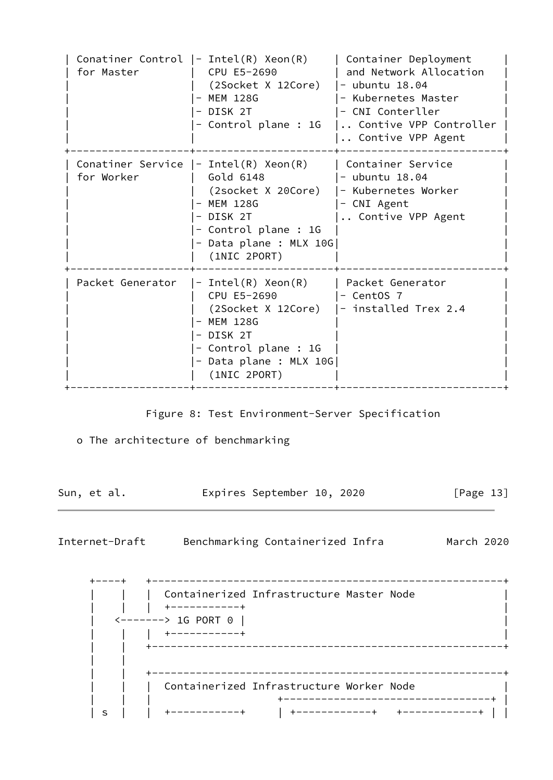| for Master | Conatiner Control $ -$ Intel(R) Xeon(R)<br>CPU E5-2690<br>(2Socket X 12Core)<br>MEM 128G<br>- DISK 2T<br>- Control plane : 1G                                         | Container Deployment<br>and Network Allocation<br>- ubuntu $18.04$<br>- Kubernetes Master<br>- CNI Conterller<br>Contive VPP Controller<br>Contive VPP Agent |
|------------|-----------------------------------------------------------------------------------------------------------------------------------------------------------------------|--------------------------------------------------------------------------------------------------------------------------------------------------------------|
| for Worker | Conatiner Service $ -$ Intel(R) Xeon(R)<br>Gold 6148<br>(2socket X 20Core)<br>MEM 128G<br>- DISK 2T<br>- Control plane : 1G<br>- Data plane : MLX 10G<br>(1NIC 2PORT) | Container Service<br>- ubuntu $18.04$<br>- Kubernetes Worker<br>- CNI Agent<br>Contive VPP Agent                                                             |
|            | Packet Generator $ -$ Intel(R) Xeon(R)<br>CPU E5-2690<br>MEM 128G<br>- DISK 2T<br>- Control plane : 1G<br>- Data plane : MLX 10G <br>(1NIC 2PORT)                     | Packet Generator<br>- CentOS 7<br>(2Socket X 12Core)   - installed Trex 2.4                                                                                  |

Figure 8: Test Environment-Server Specification

o The architecture of benchmarking

Sun, et al. **Expires September 10, 2020** [Page 13]

Internet-Draft Benchmarking Containerized Infra March 2020

 +----+ +--------------------------------------------------------+ | Containerized Infrastructure Master Node | | Containerized<br>| | +----------+<br>| 10.225.0 | | <-------> 1G PORT 0 | | | | | +-----------+ | | | +--------------------------------------------------------+ | | | | +--------------------------------------------------------+ Containerized Infrastructure Worker Node +----------------------------------+ | | s | | +-----------+ | +------------+ +------------+ | |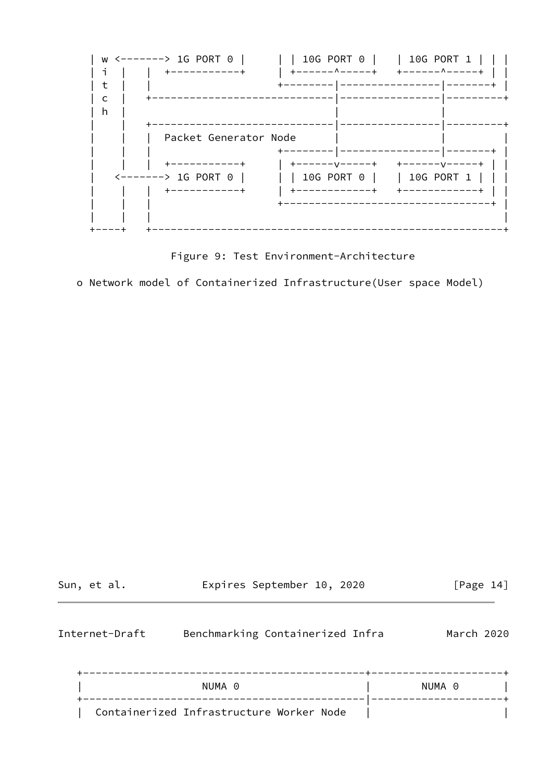

Figure 9: Test Environment-Architecture

o Network model of Containerized Infrastructure(User space Model)

| Sun, et al.    | Expires September 10, 2020               | [Page $14$ ] |
|----------------|------------------------------------------|--------------|
| Internet-Draft | Benchmarking Containerized Infra         | March 2020   |
|                | NUMA 0                                   | NUMA 0       |
|                | Containerized Infrastructure Worker Node |              |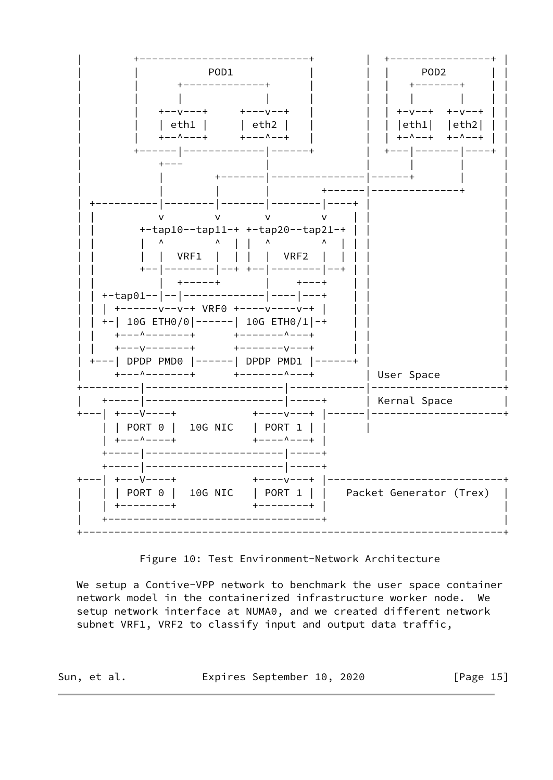

Figure 10: Test Environment-Network Architecture

We setup a Contive-VPP network to benchmark the user space container network model in the containerized infrastructure worker node. We setup network interface at NUMA0, and we created different network subnet VRF1, VRF2 to classify input and output data traffic,

Expires September 10, 2020 Sun, et al. [Page  $15$ ]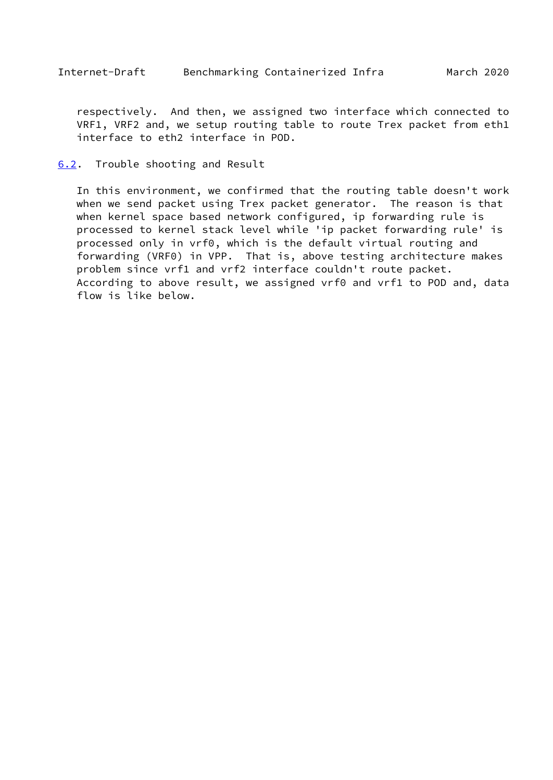<span id="page-17-1"></span> respectively. And then, we assigned two interface which connected to VRF1, VRF2 and, we setup routing table to route Trex packet from eth1 interface to eth2 interface in POD.

#### <span id="page-17-0"></span>[6.2](#page-17-0). Trouble shooting and Result

 In this environment, we confirmed that the routing table doesn't work when we send packet using Trex packet generator. The reason is that when kernel space based network configured, ip forwarding rule is processed to kernel stack level while 'ip packet forwarding rule' is processed only in vrf0, which is the default virtual routing and forwarding (VRF0) in VPP. That is, above testing architecture makes problem since vrf1 and vrf2 interface couldn't route packet. According to above result, we assigned vrf0 and vrf1 to POD and, data flow is like below.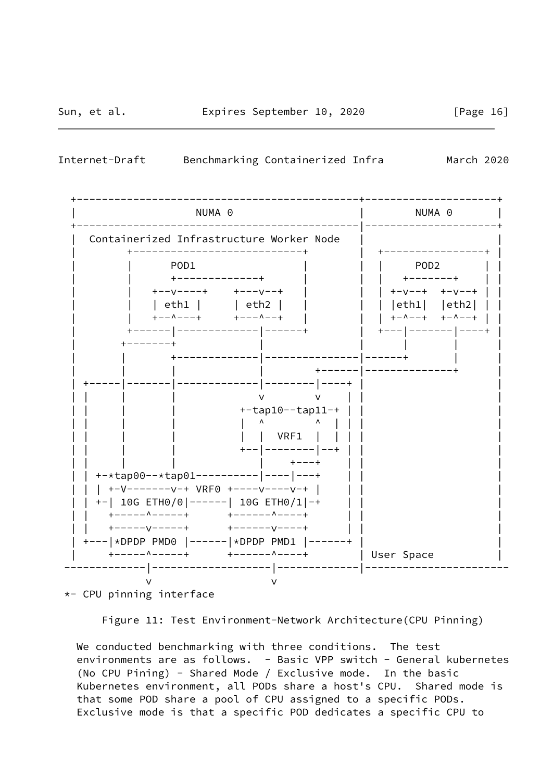

Internet-Draft Benchmarking Containerized Infra March 2020



\*- CPU pinning interface

Figure 11: Test Environment-Network Architecture(CPU Pinning)

 We conducted benchmarking with three conditions. The test environments are as follows. - Basic VPP switch - General kubernetes (No CPU Pining) - Shared Mode / Exclusive mode. In the basic Kubernetes environment, all PODs share a host's CPU. Shared mode is that some POD share a pool of CPU assigned to a specific PODs. Exclusive mode is that a specific POD dedicates a specific CPU to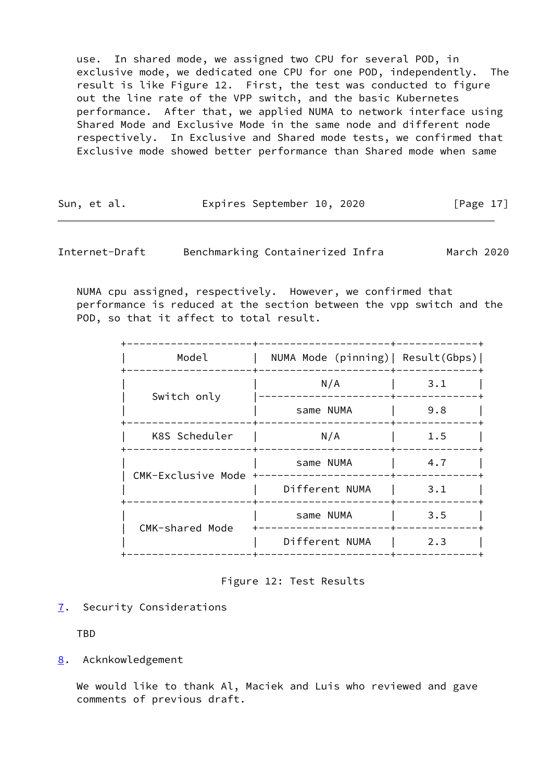use. In shared mode, we assigned two CPU for several POD, in exclusive mode, we dedicated one CPU for one POD, independently. The result is like Figure 12. First, the test was conducted to figure out the line rate of the VPP switch, and the basic Kubernetes performance. After that, we applied NUMA to network interface using Shared Mode and Exclusive Mode in the same node and different node respectively. In Exclusive and Shared mode tests, we confirmed that Exclusive mode showed better performance than Shared mode when same

| Sun, et al. | Expires September 10, 2020 |  | [Page $17$ ] |  |
|-------------|----------------------------|--|--------------|--|
|             |                            |  |              |  |

<span id="page-19-1"></span>Internet-Draft Benchmarking Containerized Infra March 2020

 NUMA cpu assigned, respectively. However, we confirmed that performance is reduced at the section between the vpp switch and the POD, so that it affect to total result.

| Model                | NUMA Mode (pinning)   Result(Gbps) |     |
|----------------------|------------------------------------|-----|
| Switch only          | N/A                                | 3.1 |
|                      | same NUMA                          | 9.8 |
| K8S Scheduler        | N/A                                | 1.5 |
| CMK-Exclusive Mode + | same NUMA                          | 4.7 |
|                      | Different NUMA                     | 3.1 |
| CMK-shared Mode      | same NUMA                          | 3.5 |
|                      | Different NUMA                     | 2.3 |
|                      |                                    |     |

Figure 12: Test Results

<span id="page-19-0"></span>[7](#page-19-0). Security Considerations

TBD

<span id="page-19-2"></span>[8](#page-19-2). Acknkowledgement

 We would like to thank Al, Maciek and Luis who reviewed and gave comments of previous draft.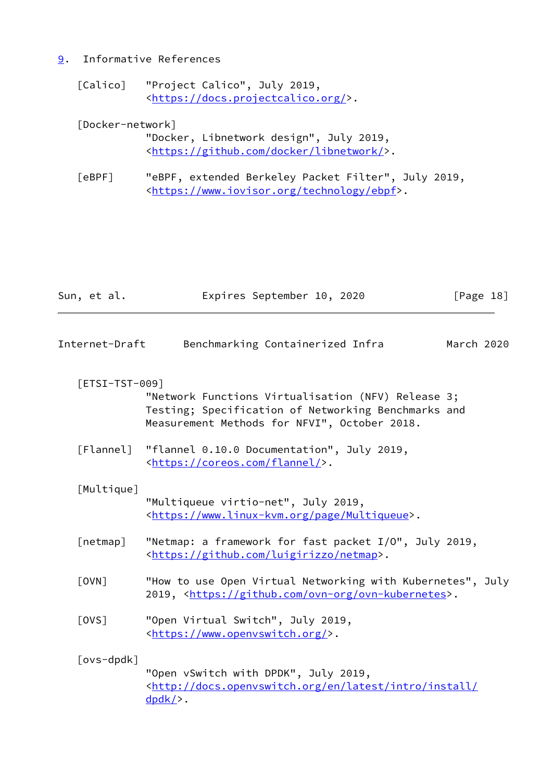# <span id="page-20-0"></span>[9](#page-20-0). Informative References

 [Calico] "Project Calico", July 2019, <[https://docs.projectcalico.org/>](https://docs.projectcalico.org/).

| [Docker-network] |  |
|------------------|--|
|------------------|--|

| "Docker, Libnetwork design", July 2019,                   |  |
|-----------------------------------------------------------|--|
| <https: docker="" github.com="" libnetwork=""></https:> . |  |

 [eBPF] "eBPF, extended Berkeley Packet Filter", July 2019, <[https://www.iovisor.org/technology/ebpf>](https://www.iovisor.org/technology/ebpf).

<span id="page-20-3"></span><span id="page-20-2"></span><span id="page-20-1"></span>

| Sun, et al.           | Expires September 10, 2020                                                                                                                                 |            | [Page 18] |
|-----------------------|------------------------------------------------------------------------------------------------------------------------------------------------------------|------------|-----------|
| Internet-Draft        | Benchmarking Containerized Infra                                                                                                                           | March 2020 |           |
| $[ESTSI-TST-009]$     | "Network Functions Virtualisation (NFV) Release 3;<br>Testing; Specification of Networking Benchmarks and<br>Measurement Methods for NFVI", October 2018.  |            |           |
| [Flannel]             | "flannel 0.10.0 Documentation", July 2019,<br><https: coreos.com="" flannel=""></https:> .                                                                 |            |           |
| [Multique]            | "Multiqueue virtio-net", July 2019,<br><https: multiqueue="" page="" www.linux-kvm.org="">.</https:>                                                       |            |           |
| [netmap]              | "Netmap: a framework for fast packet I/O", July 2019,<br><https: github.com="" luigirizzo="" netmap="">.</https:>                                          |            |           |
| $\lceil$ OVN $\rceil$ | "How to use Open Virtual Networking with Kubernetes", July<br>2019, <https: github.com="" ovn-kubernetes="" ovn-org="">.</https:>                          |            |           |
| [OVS]                 | "Open Virtual Switch", July 2019,<br><https: www.openvswitch.org=""></https:> .                                                                            |            |           |
| [ovs-dpdk]            | "Open vSwitch with DPDK", July 2019,<br><http: <br="" docs.openvswitch.org="" en="" install="" intro="" latest=""><math>d</math>pdk<math>/</math>.</http:> |            |           |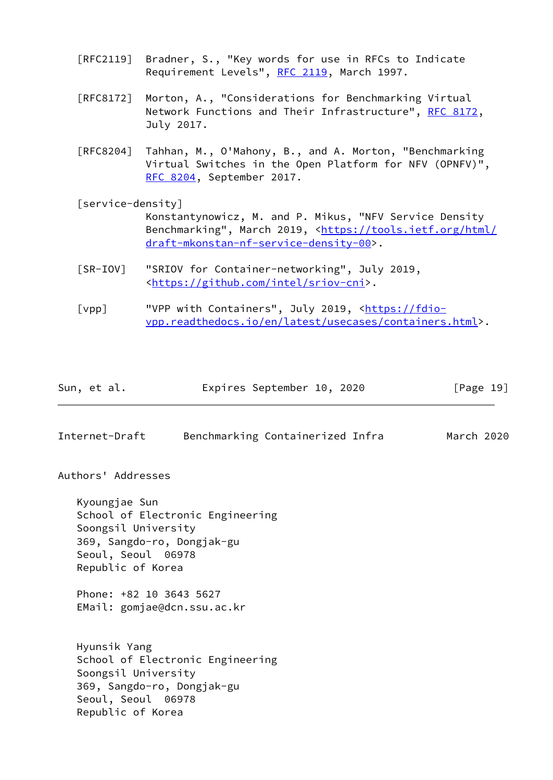- [RFC2119] Bradner, S., "Key words for use in RFCs to Indicate Requirement Levels", [RFC 2119](https://datatracker.ietf.org/doc/pdf/rfc2119), March 1997.
- [RFC8172] Morton, A., "Considerations for Benchmarking Virtual Network Functions and Their Infrastructure", [RFC 8172](https://datatracker.ietf.org/doc/pdf/rfc8172), July 2017.
- [RFC8204] Tahhan, M., O'Mahony, B., and A. Morton, "Benchmarking Virtual Switches in the Open Platform for NFV (OPNFV)", [RFC 8204,](https://datatracker.ietf.org/doc/pdf/rfc8204) September 2017.
- <span id="page-21-1"></span> [service-density] Konstantynowicz, M. and P. Mikus, "NFV Service Density Benchmarking", March 2019, <[https://tools.ietf.org/html/](https://tools.ietf.org/html/draft-mkonstan-nf-service-density-00) [draft-mkonstan-nf-service-density-00>](https://tools.ietf.org/html/draft-mkonstan-nf-service-density-00).
- [SR-IOV] "SRIOV for Container-networking", July 2019, <[https://github.com/intel/sriov-cni>](https://github.com/intel/sriov-cni).
- [vpp] "VPP with Containers", July 2019, [<https://fdio](https://fdio-vpp.readthedocs.io/en/latest/usecases/containers.html) [vpp.readthedocs.io/en/latest/usecases/containers.html>](https://fdio-vpp.readthedocs.io/en/latest/usecases/containers.html).

| Sun, et al. | Expires September 10, 2020 |  | [Page 19] |
|-------------|----------------------------|--|-----------|
|-------------|----------------------------|--|-----------|

<span id="page-21-0"></span>Internet-Draft Benchmarking Containerized Infra March 2020

Authors' Addresses

 Kyoungjae Sun School of Electronic Engineering Soongsil University 369, Sangdo-ro, Dongjak-gu Seoul, Seoul 06978 Republic of Korea

 Phone: +82 10 3643 5627 EMail: gomjae@dcn.ssu.ac.kr

 Hyunsik Yang School of Electronic Engineering Soongsil University 369, Sangdo-ro, Dongjak-gu Seoul, Seoul 06978 Republic of Korea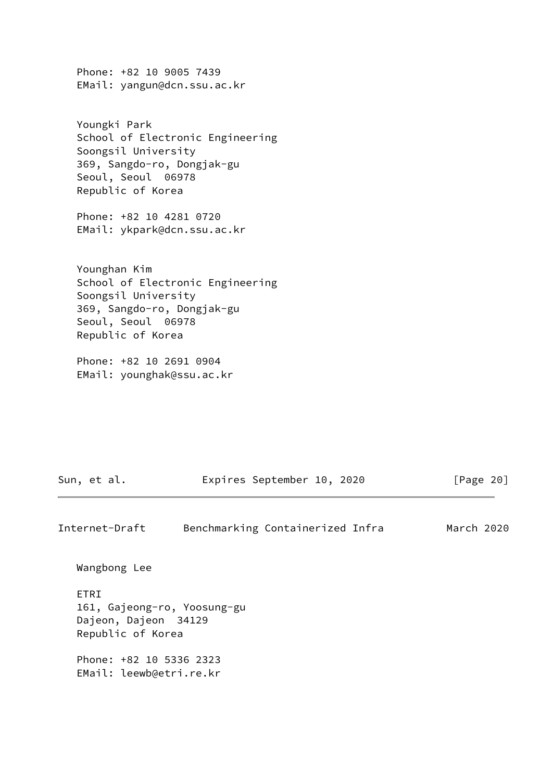Phone: +82 10 9005 7439 EMail: yangun@dcn.ssu.ac.kr

 Youngki Park School of Electronic Engineering Soongsil University 369, Sangdo-ro, Dongjak-gu Seoul, Seoul 06978 Republic of Korea

 Phone: +82 10 4281 0720 EMail: ykpark@dcn.ssu.ac.kr

 Younghan Kim School of Electronic Engineering Soongsil University 369, Sangdo-ro, Dongjak-gu Seoul, Seoul 06978 Republic of Korea

 Phone: +82 10 2691 0904 EMail: younghak@ssu.ac.kr

Sun, et al. **Expires September 10, 2020** [Page 20]

Internet-Draft Benchmarking Containerized Infra March 2020

Wangbong Lee

 ETRI 161, Gajeong-ro, Yoosung-gu Dajeon, Dajeon 34129 Republic of Korea

 Phone: +82 10 5336 2323 EMail: leewb@etri.re.kr